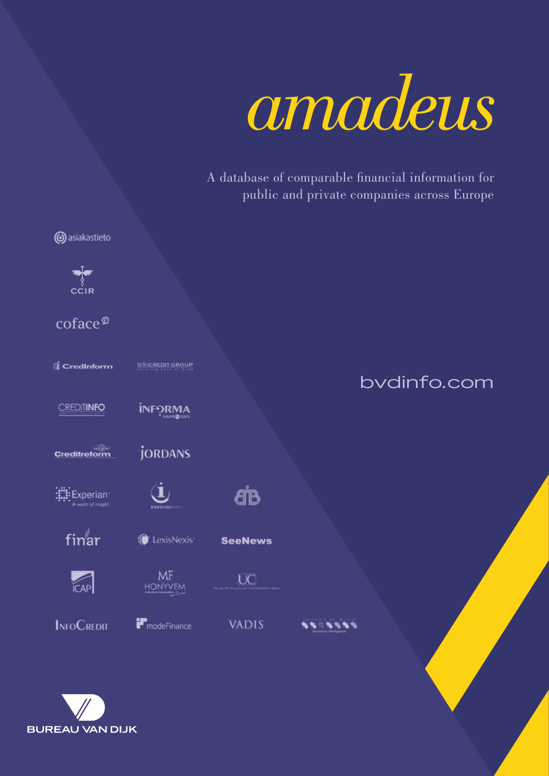

A database of comparable financial information for public and private companies across Europe



**BUREAU VAN DIJK**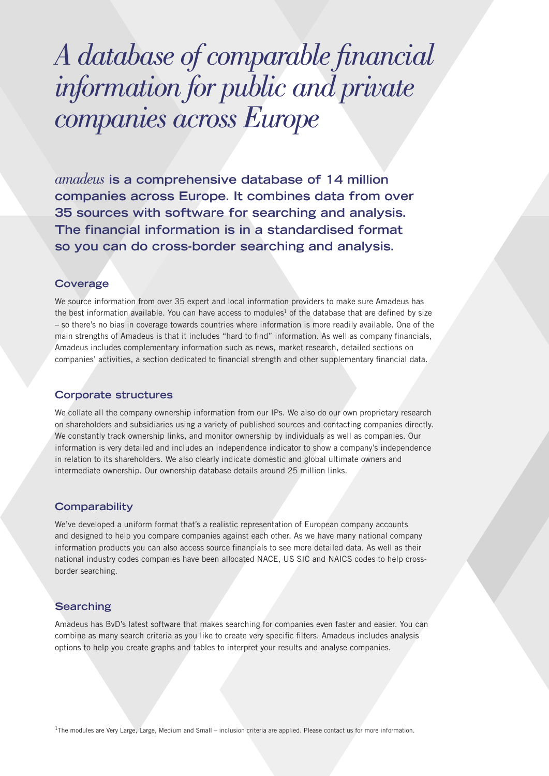## *A database of comparable financial information for public and private companies across Europe*

*amadeus* **is a comprehensive database of 14 million companies across Europe. It combines data from over 35 sources with software for searching and analysis. The financial information is in a standardised format so you can do cross-border searching and analysis.**

#### **Coverage**

We source information from over 35 expert and local information providers to make sure Amadeus has the best information available. You can have access to modules<sup>1</sup> of the database that are defined by size – so there's no bias in coverage towards countries where information is more readily available. One of the main strengths of Amadeus is that it includes "hard to find" information. As well as company financials, Amadeus includes complementary information such as news, market research, detailed sections on companies' activities, a section dedicated to financial strength and other supplementary financial data.

#### **Corporate structures**

We collate all the company ownership information from our IPs. We also do our own proprietary research on shareholders and subsidiaries using a variety of published sources and contacting companies directly. We constantly track ownership links, and monitor ownership by individuals as well as companies. Our information is very detailed and includes an independence indicator to show a company's independence in relation to its shareholders. We also clearly indicate domestic and global ultimate owners and intermediate ownership. Our ownership database details around 25 million links.

#### **Comparability**

We've developed a uniform format that's a realistic representation of European company accounts and designed to help you compare companies against each other. As we have many national company information products you can also access source financials to see more detailed data. As well as their national industry codes companies have been allocated NACE, US SIC and NAICS codes to help crossborder searching.

#### **Searching**

Amadeus has BvD's latest software that makes searching for companies even faster and easier. You can combine as many search criteria as you like to create very specific filters. Amadeus includes analysis options to help you create graphs and tables to interpret your results and analyse companies.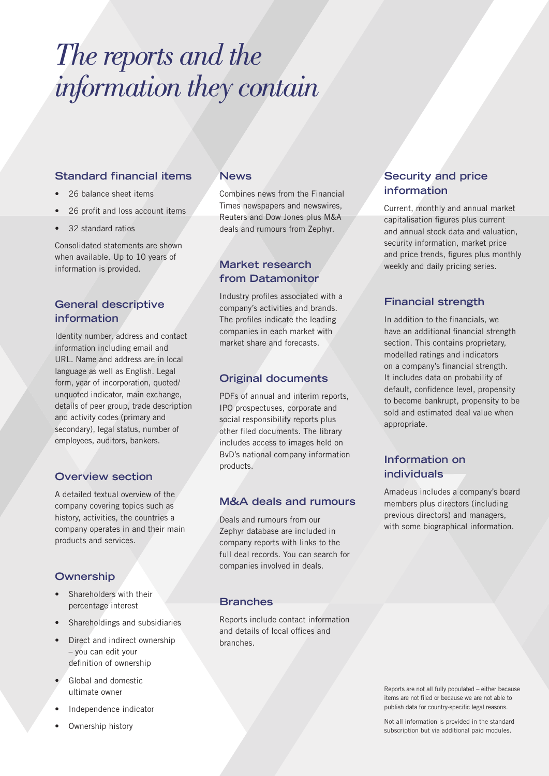# *The reports and the information they contain*

## **Standard financial items**

- 26 balance sheet items
- 26 profit and loss account items
- 32 standard ratios

Consolidated statements are shown when available. Up to 10 years of information is provided.

## **General descriptive information**

Identity number, address and contact information including email and URL. Name and address are in local language as well as English. Legal form, year of incorporation, quoted/ unquoted indicator, main exchange, details of peer group, trade description and activity codes (primary and secondary), legal status, number of employees, auditors, bankers.

## **Overview section**

A detailed textual overview of the company covering topics such as history, activities, the countries a company operates in and their main products and services.

## **Ownership**

- Shareholders with their percentage interest
- Shareholdings and subsidiaries
- Direct and indirect ownership – you can edit your definition of ownership
- Global and domestic ultimate owner
- Independence indicator
- Ownership history

## **News**

Combines news from the Financial Times newspapers and newswires, Reuters and Dow Jones plus M&A deals and rumours from Zephyr.

## **Market research from Datamonitor**

Industry profiles associated with a company's activities and brands. The profiles indicate the leading companies in each market with market share and forecasts.

## **Original documents**

PDFs of annual and interim reports, IPO prospectuses, corporate and social responsibility reports plus other filed documents. The library includes access to images held on BvD's national company information products.

## **M&A deals and rumours**

Deals and rumours from our Zephyr database are included in company reports with links to the full deal records. You can search for companies involved in deals.

## **Branches**

Reports include contact information and details of local offices and branches.

## **Security and price information**

Current, monthly and annual market capitalisation figures plus current and annual stock data and valuation, security information, market price and price trends, figures plus monthly weekly and daily pricing series.

## **Financial strength**

In addition to the financials, we have an additional financial strength section. This contains proprietary, modelled ratings and indicators on a company's financial strength. It includes data on probability of default, confidence level, propensity to become bankrupt, propensity to be sold and estimated deal value when appropriate.

## **Information on individuals**

Amadeus includes a company's board members plus directors (including previous directors) and managers, with some biographical information.

Reports are not all fully populated – either because items are not filed or because we are not able to publish data for country-specific legal reasons.

Not all information is provided in the standard subscription but via additional paid modules.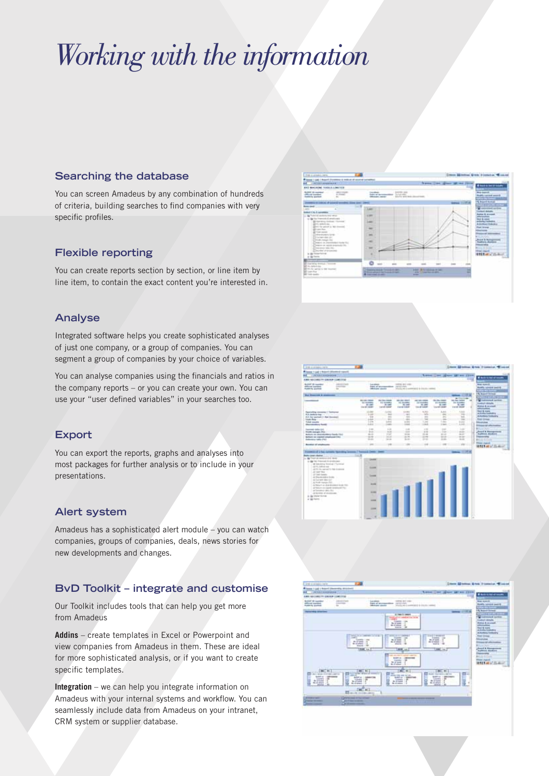# *Working with the information*

## **Searching the database**

You can screen Amadeus by any combination of hundreds of criteria, building searches to find companies with very specific profiles.

## **Flexible reporting**

You can create reports section by section, or line item by line item, to contain the exact content you're interested in.

## **Analyse**

Integrated software helps you create sophisticated analyses of just one company, or a group of companies. You can segment a group of companies by your choice of variables.

You can analyse companies using the financials and ratios in the company reports – or you can create your own. You can use your "user defined variables" in your searches too.

## **Export**

You can export the reports, graphs and analyses into most packages for further analysis or to include in your presentations.

## **Alert system**

Amadeus has a sophisticated alert module – you can watch companies, groups of companies, deals, news stories for new developments and changes.

## **BvD Toolkit – integrate and customise**

Our Toolkit includes tools that can help you get more from Amadeus

**Addins** – create templates in Excel or Powerpoint and view companies from Amadeus in them. These are ideal for more sophisticated analysis, or if you want to create specific templates.

**Integration** – we can help you integrate information on Amadeus with your internal systems and workflow. You can seamlessly include data from Amadeus on your intranet, CRM system or supplier database.





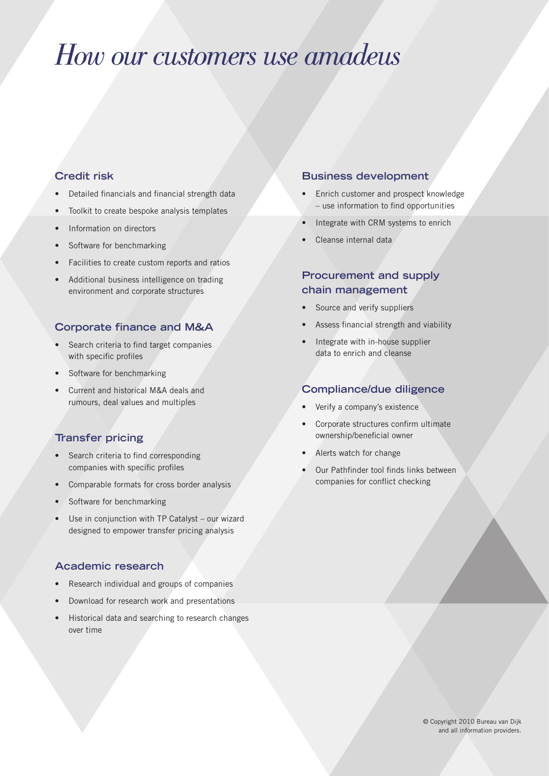## *How our customers use amadeus*

## **Credit risk**

- Detailed financials and financial strength data
- Toolkit to create bespoke analysis templates
- Information on directors
- Software for benchmarking
- Facilities to create custom reports and ratios
- Additional business intelligence on trading environment and corporate structures

## **Corporate finance and M&A**

- Search criteria to find target companies with specific profiles
- Software for benchmarking
- Current and historical M&A deals and rumours, deal values and multiples

## **Transfer pricing**

- Search criteria to find corresponding companies with specific profiles
- Comparable formats for cross border analysis
- Software for benchmarking
- Use in conjunction with TP Catalyst our wizard designed to empower transfer pricing analysis

## **Academic research**

- Research individual and groups of companies
- Download for research work and presentations
- Historical data and searching to research changes over time

### **Business development**

- Enrich customer and prospect knowledge – use information to find opportunities
- Integrate with CRM systems to enrich
- Cleanse internal data

## **Procurement and supply chain management**

- Source and verify suppliers
- Assess financial strength and viability
- Integrate with in-house supplier data to enrich and cleanse

### **Compliance/due diligence**

- Verify a company's existence
- Corporate structures confirm ultimate ownership/beneficial owner
- Alerts watch for change
- Our Pathfinder tool finds links between companies for conflict checking

© Copyright 2010 Bureau van Dijk and all information providers.